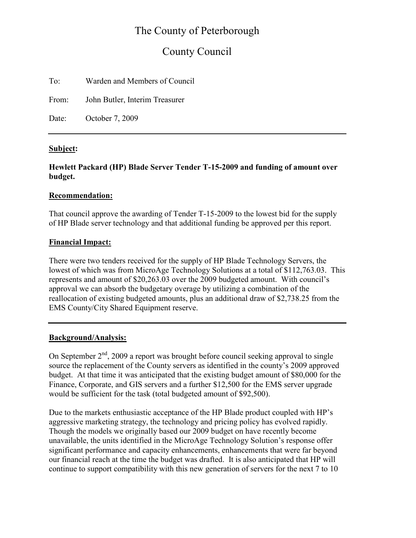# The County of Peterborough

# County Council

To: Warden and Members of Council

From: John Butler, Interim Treasurer

Date: October 7, 2009

## Subject:

## Hewlett Packard (HP) Blade Server Tender T-15-2009 and funding of amount over budget.

### Recommendation:

That council approve the awarding of Tender T-15-2009 to the lowest bid for the supply of HP Blade server technology and that additional funding be approved per this report.

### Financial Impact:

There were two tenders received for the supply of HP Blade Technology Servers, the lowest of which was from MicroAge Technology Solutions at a total of \$112,763.03. This represents and amount of \$20,263.03 over the 2009 budgeted amount. With council's approval we can absorb the budgetary overage by utilizing a combination of the reallocation of existing budgeted amounts, plus an additional draw of \$2,738.25 from the EMS County/City Shared Equipment reserve.

## Background/Analysis:

On September  $2<sup>nd</sup>$ , 2009 a report was brought before council seeking approval to single source the replacement of the County servers as identified in the county's 2009 approved budget. At that time it was anticipated that the existing budget amount of \$80,000 for the Finance, Corporate, and GIS servers and a further \$12,500 for the EMS server upgrade would be sufficient for the task (total budgeted amount of \$92,500).

Due to the markets enthusiastic acceptance of the HP Blade product coupled with HP's aggressive marketing strategy, the technology and pricing policy has evolved rapidly. Though the models we originally based our 2009 budget on have recently become unavailable, the units identified in the MicroAge Technology Solution's response offer significant performance and capacity enhancements, enhancements that were far beyond our financial reach at the time the budget was drafted. It is also anticipated that HP will continue to support compatibility with this new generation of servers for the next 7 to 10